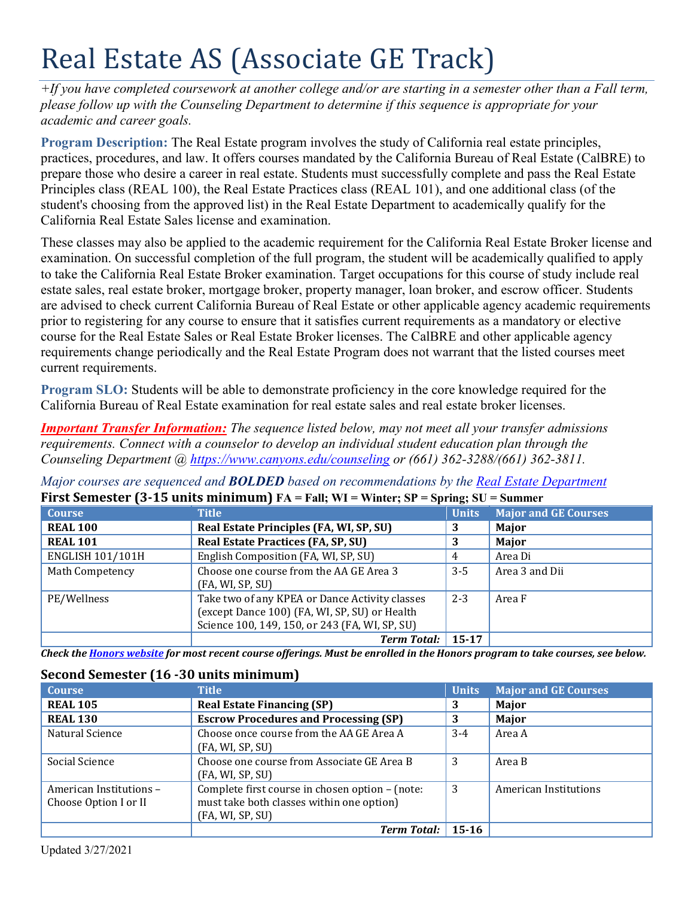# Real Estate AS (Associate GE Track)

*+If you have completed coursework at another college and/or are starting in a semester other than a Fall term, please follow up with the Counseling Department to determine if this sequence is appropriate for your academic and career goals.* 

 practices, procedures, and law. It offers courses mandated by the California Bureau of Real Estate (CalBRE) to **Program Description:** The Real Estate program involves the study of California real estate principles, prepare those who desire a career in real estate. Students must successfully complete and pass the Real Estate Principles class (REAL 100), the Real Estate Practices class (REAL 101), and one additional class (of the student's choosing from the approved list) in the Real Estate Department to academically qualify for the California Real Estate Sales license and examination.

 These classes may also be applied to the academic requirement for the California Real Estate Broker license and prior to registering for any course to ensure that it satisfies current requirements as a mandatory or elective examination. On successful completion of the full program, the student will be academically qualified to apply to take the California Real Estate Broker examination. Target occupations for this course of study include real estate sales, real estate broker, mortgage broker, property manager, loan broker, and escrow officer. Students are advised to check current California Bureau of Real Estate or other applicable agency academic requirements course for the Real Estate Sales or Real Estate Broker licenses. The CalBRE and other applicable agency requirements change periodically and the Real Estate Program does not warrant that the listed courses meet current requirements.

**Program SLO:** Students will be able to demonstrate proficiency in the core knowledge required for the California Bureau of Real Estate examination for real estate sales and real estate broker licenses.

*Important Transfer Information: The sequence listed below, may not meet all your transfer admissions requirements. Connect with a counselor to develop an individual student education plan through the Counseling Department @ <https://www.canyons.edu/counseling> or (661) 362-3288/(661) 362-3811.* 

 **First Semester (3-15 units minimum) FA = Fall; WI = Winter; SP = Spring; SU = Summer**  *Major courses are sequenced and BOLDED based on recommendations by the Real Estate Department* 

| <b>Course</b>           | <b>Title</b>                                   | <b>Units</b> | <b>Major and GE Courses</b> |
|-------------------------|------------------------------------------------|--------------|-----------------------------|
| <b>REAL 100</b>         | Real Estate Principles (FA, WI, SP, SU)        | 3            | Major                       |
| <b>REAL 101</b>         | <b>Real Estate Practices (FA, SP, SU)</b>      |              | Major                       |
| <b>ENGLISH 101/101H</b> | English Composition (FA, WI, SP, SU)           | 4            | Area Di                     |
| <b>Math Competency</b>  | Choose one course from the AA GE Area 3        | $3 - 5$      | Area 3 and Dii              |
|                         | (FA, WI, SP, SU)                               |              |                             |
| PE/Wellness             | Take two of any KPEA or Dance Activity classes | $2 - 3$      | Area F                      |
|                         | (except Dance 100) (FA, WI, SP, SU) or Health  |              |                             |
|                         | Science 100, 149, 150, or 243 (FA, WI, SP, SU) |              |                             |
|                         | <b>Term Total:</b>                             | $15 - 17$    |                             |

*Check the Honors website for most recent course offerings. Must be enrolled in the Honors program to take courses, see below.* 

# **Second Semester (16 -30 units minimum)**

| <b>Course</b>           | <b>Title</b>                                    | <b>Units</b> | <b>Major and GE Courses</b> |
|-------------------------|-------------------------------------------------|--------------|-----------------------------|
| <b>REAL 105</b>         | <b>Real Estate Financing (SP)</b>               | 3            | Major                       |
| <b>REAL 130</b>         | <b>Escrow Procedures and Processing (SP)</b>    | 3            | Major                       |
| Natural Science         | Choose once course from the AA GE Area A        | $3-4$        | Area A                      |
|                         | (FA, WI, SP, SU)                                |              |                             |
| Social Science          | Choose one course from Associate GE Area B      | 3            | Area B                      |
|                         | (FA, WI, SP, SU)                                |              |                             |
| American Institutions - | Complete first course in chosen option - (note: | 3            | American Institutions       |
| Choose Option I or II   | must take both classes within one option)       |              |                             |
|                         | (FA, WI, SP, SU)                                |              |                             |
|                         | <b>Term Total:</b>                              | $15 - 16$    |                             |